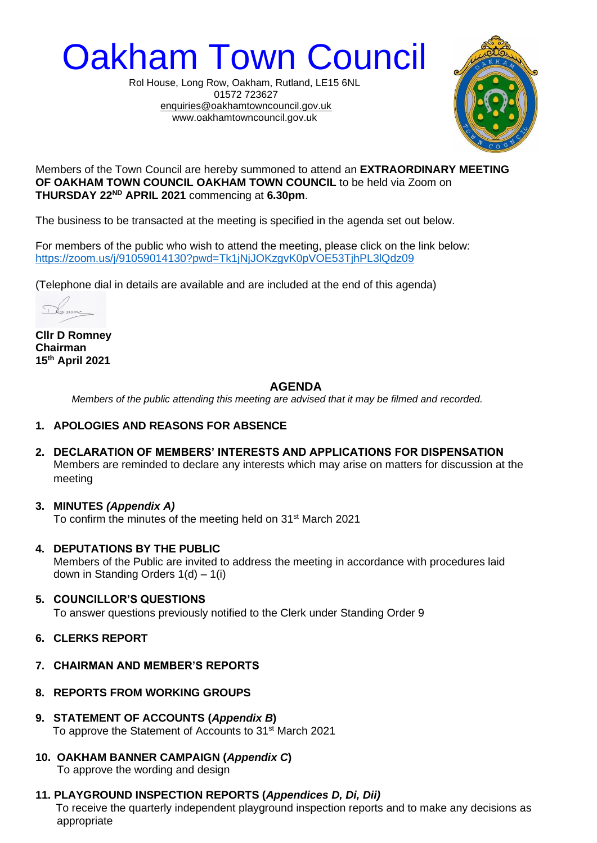

Rol House, Long Row, Oakham, Rutland, LE15 6NL 01572 723627 [enquiries@oakhamtowncouncil.gov.uk](mailto:enquiries@oakhamtowncouncil.gov.uk) www.oakhamtowncouncil.gov.uk



Members of the Town Council are hereby summoned to attend an **EXTRAORDINARY MEETING OF OAKHAM TOWN COUNCIL OAKHAM TOWN COUNCIL** to be held via Zoom on **THURSDAY 22ND APRIL 2021** commencing at **6.30pm**.

The business to be transacted at the meeting is specified in the agenda set out below.

For members of the public who wish to attend the meeting, please click on the link below: https://zoom.us/i/91059014130?pwd=Tk1iNiJOKzgyK0pVOE53TihPL3lQdz09

(Telephone dial in details are available and are included at the end of this agenda)

**Cllr D Romney Chairman 15 th April 2021**

# **AGENDA**

*Members of the public attending this meeting are advised that it may be filmed and recorded.*

- **1. APOLOGIES AND REASONS FOR ABSENCE**
- **2. DECLARATION OF MEMBERS' INTERESTS AND APPLICATIONS FOR DISPENSATION** Members are reminded to declare any interests which may arise on matters for discussion at the meeting
- **3. MINUTES** *(Appendix A)* To confirm the minutes of the meeting held on 31<sup>st</sup> March 2021
- **4. DEPUTATIONS BY THE PUBLIC**

Members of the Public are invited to address the meeting in accordance with procedures laid down in Standing Orders  $1(d) - 1(i)$ 

**5. COUNCILLOR'S QUESTIONS** 

To answer questions previously notified to the Clerk under Standing Order 9

- **6. CLERKS REPORT**
- **7. CHAIRMAN AND MEMBER'S REPORTS**
- **8. REPORTS FROM WORKING GROUPS**
- **9. STATEMENT OF ACCOUNTS (***Appendix B***)** To approve the Statement of Accounts to 31st March 2021
- **10. OAKHAM BANNER CAMPAIGN (***Appendix C***)** To approve the wording and design
- **11. PLAYGROUND INSPECTION REPORTS (***Appendices D, Di, Dii)*

 To receive the quarterly independent playground inspection reports and to make any decisions as appropriate